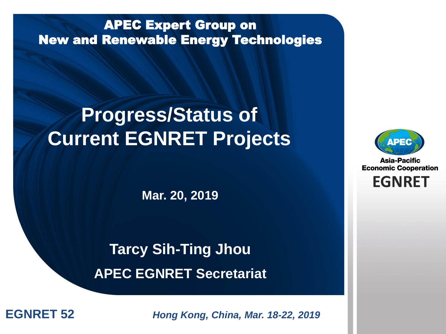#### APEC Expert Group on New and Renewable Energy Technologies

## **Progress/Status of Current EGNRET Projects**

**Mar. 20, 2019**

## **Tarcy Sih-Ting Jhou APEC EGNRET Secretariat**



**Asia-Pacific Economic Cooperation** 

**EGNRET**

**EGNRET 52** *Brung Kong, China, Mar. 18-22, 2019*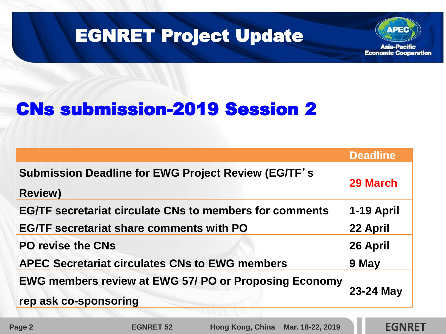

## EGNRET Project Update

## CNs submission-2019 Session 2

|                                                                                       | <b>Deadline</b> |
|---------------------------------------------------------------------------------------|-----------------|
| <b>Submission Deadline for EWG Project Review (EG/TF's</b><br><b>Review)</b>          | 29 March        |
| <b>EG/TF secretariat circulate CNs to members for comments</b>                        | 1-19 April      |
| <b>EG/TF secretariat share comments with PO</b>                                       | 22 April        |
| <b>PO revise the CNs</b>                                                              | 26 April        |
| <b>APEC Secretariat circulates CNs to EWG members</b>                                 | 9 May           |
| <b>EWG members review at EWG 57/ PO or Proposing Economy</b><br>rep ask co-sponsoring | 23-24 May       |

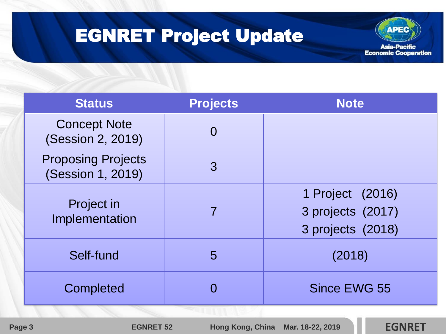## EGNRET Project Update



| <b>Status</b>                                  | <b>Projects</b> | <b>Note</b>                                                |
|------------------------------------------------|-----------------|------------------------------------------------------------|
| <b>Concept Note</b><br>(Session 2, 2019)       | $\Omega$        |                                                            |
| <b>Proposing Projects</b><br>(Session 1, 2019) | 3               |                                                            |
| <b>Project in</b><br>Implementation            | $\overline{7}$  | 1 Project (2016)<br>3 projects (2017)<br>3 projects (2018) |
| Self-fund                                      | 5               | (2018)                                                     |
| Completed                                      |                 | <b>Since EWG 55</b>                                        |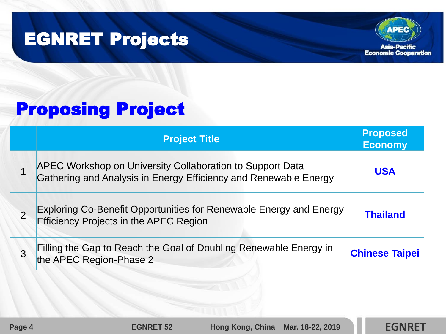## EGNRET Projects



## Proposing Project

| <b>Project Title</b>                                                                                                          | <b>Proposed</b><br><b>Economy</b> |
|-------------------------------------------------------------------------------------------------------------------------------|-----------------------------------|
| APEC Workshop on University Collaboration to Support Data<br>Gathering and Analysis in Energy Efficiency and Renewable Energy | <b>USA</b>                        |
| Exploring Co-Benefit Opportunities for Renewable Energy and Energy<br>Efficiency Projects in the APEC Region                  | <b>Thailand</b>                   |
| Filling the Gap to Reach the Goal of Doubling Renewable Energy in<br>the APEC Region-Phase 2                                  | <b>Chinese Taipei</b>             |

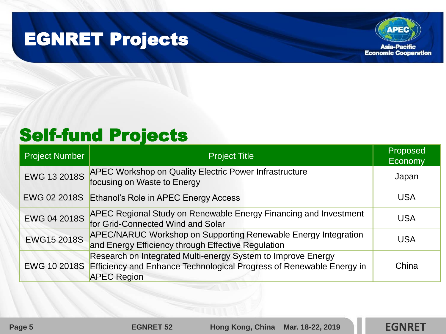## EGNRET Projects



## Self-fund Projects

| <b>Project Number</b> | <b>Project Title</b>                                                                                                                                       | Proposed<br>Economy |
|-----------------------|------------------------------------------------------------------------------------------------------------------------------------------------------------|---------------------|
| <b>EWG 13 2018S</b>   | <b>APEC Workshop on Quality Electric Power Infrastructure</b><br>focusing on Waste to Energy                                                               | Japan               |
| EWG 02 2018S          | Ethanol's Role in APEC Energy Access                                                                                                                       | <b>USA</b>          |
| EWG 04 2018S          | <b>APEC Regional Study on Renewable Energy Financing and Investment</b><br>for Grid-Connected Wind and Solar                                               | <b>USA</b>          |
| <b>EWG15 2018S</b>    | <b>APEC/NARUC Workshop on Supporting Renewable Energy Integration</b><br>and Energy Efficiency through Effective Regulation                                | <b>USA</b>          |
| EWG 10 2018S          | Research on Integrated Multi-energy System to Improve Energy<br>Efficiency and Enhance Technological Progress of Renewable Energy in<br><b>APEC Region</b> | China               |

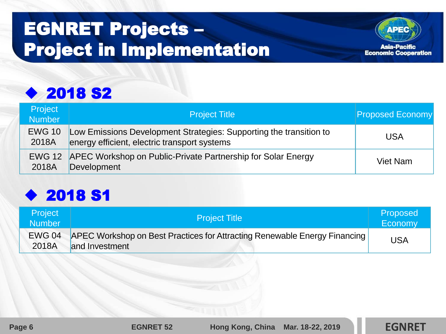## EGNRET Projects – Project in Implementation



#### ◆ 2018 S2

| <b>Project</b><br><b>Number</b> | <b>Project Title</b>                                                                                               | <b>Proposed Economy</b> |
|---------------------------------|--------------------------------------------------------------------------------------------------------------------|-------------------------|
| <b>EWG 10</b><br>2018A          | Low Emissions Development Strategies: Supporting the transition to<br>energy efficient, electric transport systems | USA                     |
| 2018A                           | EWG 12 APEC Workshop on Public-Private Partnership for Solar Energy<br>Development                                 | Viet Nam                |

#### ◆ 2018 S1

| <b>Project</b><br><b>Number</b> | <b>Project Title</b>                                                                        | Proposed<br>Economy |
|---------------------------------|---------------------------------------------------------------------------------------------|---------------------|
| <b>EWG 04</b><br>2018A          | APEC Workshop on Best Practices for Attracting Renewable Energy Financing<br>and Investment | <b>USA</b>          |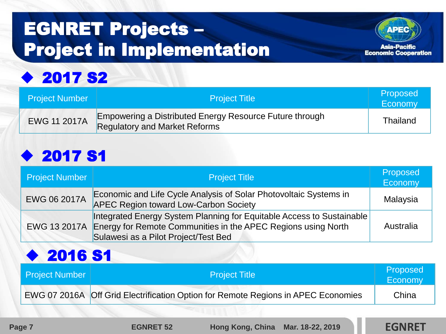# EGNRET Projects – Project in Implementation



## ◆ 2017 S2

| Project Number      | <b>Project Title</b>                                                                            | Proposed<br>Economy |
|---------------------|-------------------------------------------------------------------------------------------------|---------------------|
| <b>EWG 11 2017A</b> | Empowering a Distributed Energy Resource Future through<br><b>Regulatory and Market Reforms</b> | <b>Thailand</b>     |

#### ◆ 2017 S1

| <b>Project Number</b> | <b>Project Title</b>                                                                                                                                                                        | Proposed<br>Economy |
|-----------------------|---------------------------------------------------------------------------------------------------------------------------------------------------------------------------------------------|---------------------|
| EWG 06 2017A          | Economic and Life Cycle Analysis of Solar Photovoltaic Systems in<br><b>APEC Region toward Low-Carbon Society</b>                                                                           | Malaysia            |
|                       | Integrated Energy System Planning for Equitable Access to Sustainable<br>EWG 13 2017A Energy for Remote Communities in the APEC Regions using North<br>Sulawesi as a Pilot Project/Test Bed | Australia           |

#### ◆ 2016 S1

| <b>Project Number</b> | <b>Project Title</b>                                                              | Proposed<br>Economy |
|-----------------------|-----------------------------------------------------------------------------------|---------------------|
|                       | EWG 07 2016A Off Grid Electrification Option for Remote Regions in APEC Economies | China               |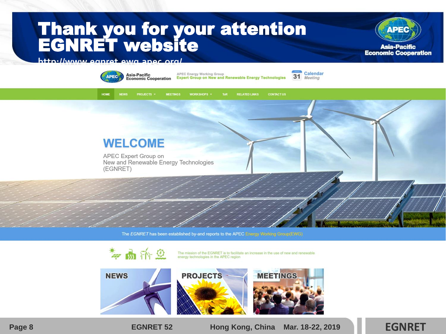### Thank you for your attention EGNRET website



#### **http://www.egnret.ewg.apec.org/**



The EGNRET has been established by-and reports to the APEC Energy Working Group(EWG)



**Page 8 EGNRET 52 Hong Kong, China Mar. 18-22, 2019 EGNRET** 

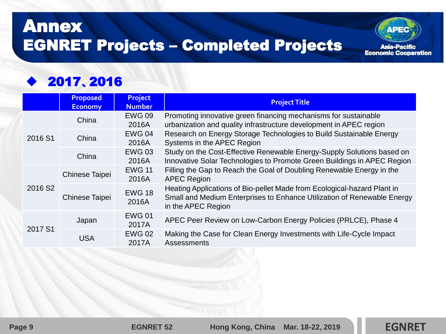## Annex EGNRET Projects – Completed Projects

#### ◆ 2017、2016

|                     | <b>Proposed</b><br><b>Economy</b> | <b>Project</b><br><b>Number</b> | <b>Project Title</b>                                                                                                                                                     |
|---------------------|-----------------------------------|---------------------------------|--------------------------------------------------------------------------------------------------------------------------------------------------------------------------|
| 2016 S1             | China                             | <b>EWG 09</b><br>2016A          | Promoting innovative green financing mechanisms for sustainable<br>urbanization and quality infrastructure development in APEC region                                    |
|                     | China                             | <b>EWG 04</b><br>2016A          | Research on Energy Storage Technologies to Build Sustainable Energy<br>Systems in the APEC Region                                                                        |
|                     | China                             | <b>EWG 03</b><br>2016A          | Study on the Cost-Effective Renewable Energy-Supply Solutions based on<br>Innovative Solar Technologies to Promote Green Buildings in APEC Region                        |
| 2016 S <sub>2</sub> | Chinese Taipei                    | <b>EWG 11</b><br>2016A          | Filling the Gap to Reach the Goal of Doubling Renewable Energy in the<br><b>APEC Region</b>                                                                              |
|                     | <b>Chinese Taipei</b>             | <b>EWG 18</b><br>2016A          | Heating Applications of Bio-pellet Made from Ecological-hazard Plant in<br>Small and Medium Enterprises to Enhance Utilization of Renewable Energy<br>in the APEC Region |
| 2017 S1             | Japan                             | <b>EWG 01</b><br>2017A          | APEC Peer Review on Low-Carbon Energy Policies (PRLCE), Phase 4                                                                                                          |
|                     | <b>USA</b>                        | <b>EWG 02</b><br>2017A          | Making the Case for Clean Energy Investments with Life-Cycle Impact<br><b>Assessments</b>                                                                                |

**APEC** 

**Asia-Pacific Economic Cooperation**